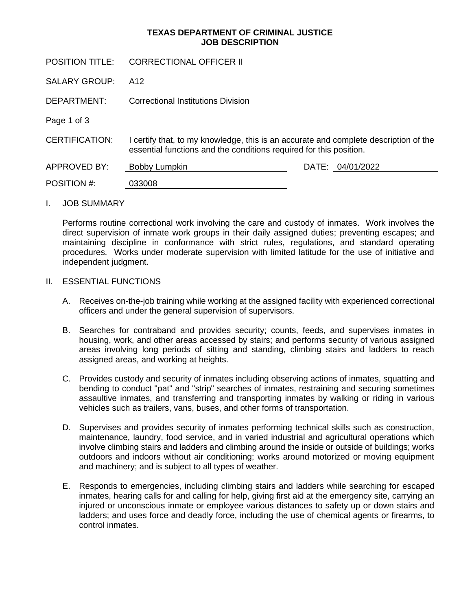# **TEXAS DEPARTMENT OF CRIMINAL JUSTICE JOB DESCRIPTION**

POSITION TITLE: CORRECTIONAL OFFICER II SALARY GROUP: DEPARTMENT: Page 1 of 3 A12 Correctional Institutions Division CERTIFICATION: I certify that, to my knowledge, this is an accurate and complete description of the essential functions and the conditions required for this position. APPROVED BY: Bobby Lumpkin DATE: 04/01/2022 POSITION #: 033008

## I. JOB SUMMARY

Performs routine correctional work involving the care and custody of inmates. Work involves the direct supervision of inmate work groups in their daily assigned duties; preventing escapes; and maintaining discipline in conformance with strict rules, regulations, and standard operating procedures. Works under moderate supervision with limited latitude for the use of initiative and independent judgment.

#### II. ESSENTIAL FUNCTIONS

- A. Receives on-the-job training while working at the assigned facility with experienced correctional officers and under the general supervision of supervisors.
- B. Searches for contraband and provides security; counts, feeds, and supervises inmates in housing, work, and other areas accessed by stairs; and performs security of various assigned areas involving long periods of sitting and standing, climbing stairs and ladders to reach assigned areas, and working at heights.
- C. Provides custody and security of inmates including observing actions of inmates, squatting and bending to conduct "pat" and "strip" searches of inmates, restraining and securing sometimes assaultive inmates, and transferring and transporting inmates by walking or riding in various vehicles such as trailers, vans, buses, and other forms of transportation.
- D. Supervises and provides security of inmates performing technical skills such as construction, maintenance, laundry, food service, and in varied industrial and agricultural operations which involve climbing stairs and ladders and climbing around the inside or outside of buildings; works outdoors and indoors without air conditioning; works around motorized or moving equipment and machinery; and is subject to all types of weather.
- E. Responds to emergencies, including climbing stairs and ladders while searching for escaped inmates, hearing calls for and calling for help, giving first aid at the emergency site, carrying an injured or unconscious inmate or employee various distances to safety up or down stairs and ladders; and uses force and deadly force, including the use of chemical agents or firearms, to control inmates.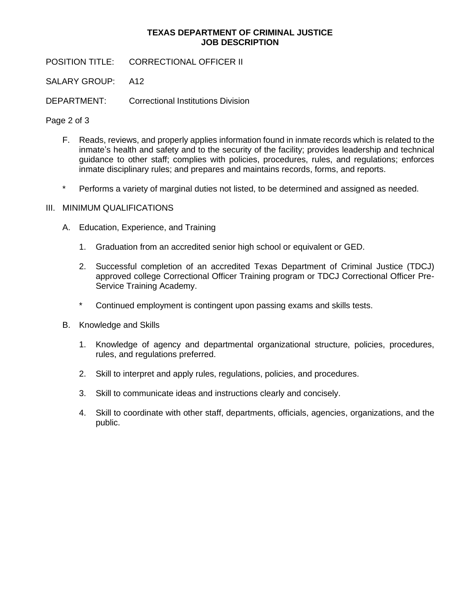# **TEXAS DEPARTMENT OF CRIMINAL JUSTICE JOB DESCRIPTION**

POSITION TITLE: CORRECTIONAL OFFICER II

SALARY GROUP: A12

DEPARTMENT: Correctional Institutions Division

Page 2 of 3

- F. Reads, reviews, and properly applies information found in inmate records which is related to the inmate's health and safety and to the security of the facility; provides leadership and technical guidance to other staff; complies with policies, procedures, rules, and regulations; enforces inmate disciplinary rules; and prepares and maintains records, forms, and reports.
- \* Performs a variety of marginal duties not listed, to be determined and assigned as needed.

# III. MINIMUM QUALIFICATIONS

- A. Education, Experience, and Training
	- 1. Graduation from an accredited senior high school or equivalent or GED.
	- 2. Successful completion of an accredited Texas Department of Criminal Justice (TDCJ) approved college Correctional Officer Training program or TDCJ Correctional Officer Pre-Service Training Academy.
	- \* Continued employment is contingent upon passing exams and skills tests.
- B. Knowledge and Skills
	- 1. Knowledge of agency and departmental organizational structure, policies, procedures, rules, and regulations preferred.
	- 2. Skill to interpret and apply rules, regulations, policies, and procedures.
	- 3. Skill to communicate ideas and instructions clearly and concisely.
	- 4. Skill to coordinate with other staff, departments, officials, agencies, organizations, and the public.